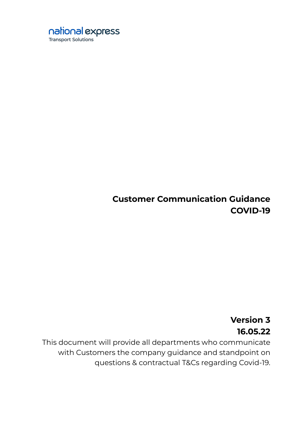

# **Customer Communication Guidance COVID-19**

# **Version 3 16.05.22**

This document will provide all departments who communicate with Customers the company guidance and standpoint on questions & contractual T&Cs regarding Covid-19.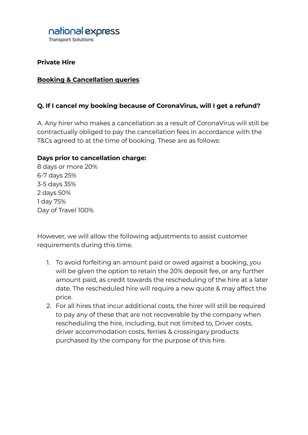

**Private Hire**

#### **Booking & Cancellation queries**

#### **Q. If I cancel my booking because of CoronaVirus, will I get a refund?**

A. Any hirer who makes a cancellation as a result of CoronaVirus will still be contractually obliged to pay the cancellation fees in accordance with the T&Cs agreed to at the time of booking. These are as follows:

#### **Days prior to cancellation charge:**

8 days or more 20% 6-7 days 25% 3-5 days 35% 2 days 50% 1 day 75% Day of Travel 100%

However, we will allow the following adjustments to assist customer requirements during this time.

- 1. To avoid forfeiting an amount paid or owed against a booking, you will be given the option to retain the 20% deposit fee, or any further amount paid, as credit towards the rescheduling of the hire at a later date. The rescheduled hire will require a new quote & may affect the price.
- 2. For all hires that incur additional costs, the hirer will still be required to pay any of these that are not recoverable by the company when rescheduling the hire, including, but not limited to, Driver costs, driver accommodation costs, ferries & crossingary products purchased by the company for the purpose of this hire.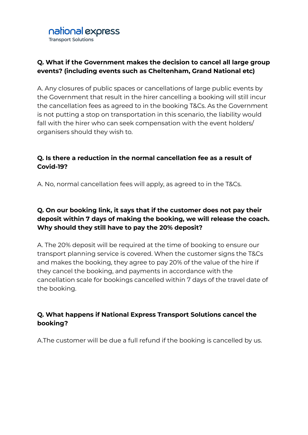

# **Q. What if the Government makes the decision to cancel all large group events? (including events such as Cheltenham, Grand National etc)**

A. Any closures of public spaces or cancellations of large public events by the Government that result in the hirer cancelling a booking will still incur the cancellation fees as agreed to in the booking T&Cs. As the Government is not putting a stop on transportation in this scenario, the liability would fall with the hirer who can seek compensation with the event holders/ organisers should they wish to.

## **Q. Is there a reduction in the normal cancellation fee as a result of Covid-19?**

A. No, normal cancellation fees will apply, as agreed to in the T&Cs.

# **Q. On our booking link, it says that if the customer does not pay their deposit within 7 days of making the booking, we will release the coach. Why should they still have to pay the 20% deposit?**

A. The 20% deposit will be required at the time of booking to ensure our transport planning service is covered. When the customer signs the T&Cs and makes the booking, they agree to pay 20% of the value of the hire if they cancel the booking, and payments in accordance with the cancellation scale for bookings cancelled within 7 days of the travel date of the booking.

## **Q. What happens if National Express Transport Solutions cancel the booking?**

A.The customer will be due a full refund if the booking is cancelled by us.